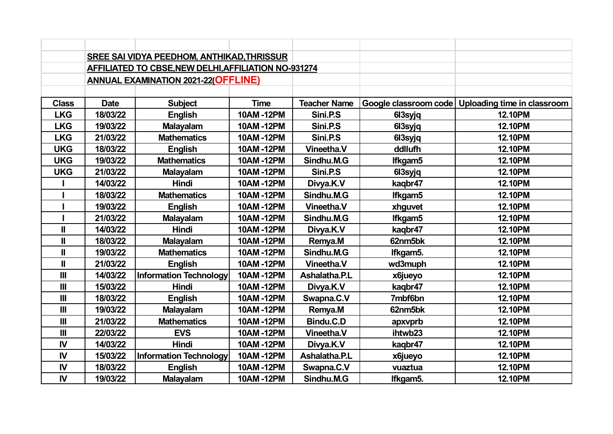|                |                                            | <b>SREE SAI VIDYA PEEDHOM, ANTHIKAD, THRISSUR</b>           |                  |                     |                       |                             |
|----------------|--------------------------------------------|-------------------------------------------------------------|------------------|---------------------|-----------------------|-----------------------------|
|                |                                            | <b>AFFILIATED TO CBSE, NEW DELHI, AFFILIATION NO-931274</b> |                  |                     |                       |                             |
|                | <b>ANNUAL EXAMINATION 2021-22(OFFLINE)</b> |                                                             |                  |                     |                       |                             |
|                |                                            |                                                             |                  |                     |                       |                             |
| <b>Class</b>   | <b>Date</b>                                | <b>Subject</b>                                              | <b>Time</b>      | <b>Teacher Name</b> | Google classroom code | Uploading time in classroom |
| <b>LKG</b>     | 18/03/22                                   | <b>English</b>                                              | <b>10AM-12PM</b> | Sini.P.S            | 613syjq               | <b>12.10PM</b>              |
| <b>LKG</b>     | 19/03/22                                   | <b>Malayalam</b>                                            | 10AM-12PM        | Sini.P.S            | 613syjq               | <b>12.10PM</b>              |
| <b>LKG</b>     | 21/03/22                                   | <b>Mathematics</b>                                          | 10AM-12PM        | Sini.P.S            | 613syjq               | <b>12.10PM</b>              |
| <b>UKG</b>     | 18/03/22                                   | <b>English</b>                                              | 10AM-12PM        | Vineetha.V          | ddllufh               | <b>12.10PM</b>              |
| <b>UKG</b>     | 19/03/22                                   | <b>Mathematics</b>                                          | 10AM-12PM        | Sindhu.M.G          | lfkgam5               | 12.10PM                     |
| <b>UKG</b>     | 21/03/22                                   | <b>Malayalam</b>                                            | 10AM-12PM        | Sini.P.S            | 613syjq               | <b>12.10PM</b>              |
|                | 14/03/22                                   | Hindi                                                       | 10AM-12PM        | Divya.K.V           | kaqbr47               | <b>12.10PM</b>              |
|                | 18/03/22                                   | <b>Mathematics</b>                                          | 10AM-12PM        | Sindhu.M.G          | Ifkgam5               | 12.10PM                     |
|                | 19/03/22                                   | <b>English</b>                                              | 10AM-12PM        | <b>Vineetha.V</b>   | xhguvet               | <b>12.10PM</b>              |
|                | 21/03/22                                   | <b>Malayalam</b>                                            | 10AM-12PM        | Sindhu.M.G          | Ifkgam5               | <b>12.10PM</b>              |
| $\mathbf{I}$   | 14/03/22                                   | <b>Hindi</b>                                                | 10AM-12PM        | Divya.K.V           | kaqbr47               | <b>12.10PM</b>              |
| $\mathbf{I}$   | 18/03/22                                   | <b>Malayalam</b>                                            | 10AM-12PM        | Remya.M             | 62nm5bk               | 12.10PM                     |
| $\mathbf{I}$   | 19/03/22                                   | <b>Mathematics</b>                                          | 10AM-12PM        | Sindhu.M.G          | Ifkgam5.              | 12.10PM                     |
| $\mathbf{I}$   | 21/03/22                                   | <b>English</b>                                              | 10AM-12PM        | Vineetha.V          | wd3muph               | <b>12.10PM</b>              |
| $\mathbf{III}$ | 14/03/22                                   | <b>Information Technology</b>                               | 10AM-12PM        | Ashalatha.P.L       | x6jueyo               | <b>12.10PM</b>              |
| III            | 15/03/22                                   | <b>Hindi</b>                                                | 10AM-12PM        | Divya.K.V           | kaqbr47               | <b>12.10PM</b>              |
| $\mathbf{III}$ | 18/03/22                                   | <b>English</b>                                              | 10AM-12PM        | Swapna.C.V          | 7mbf6bn               | <b>12.10PM</b>              |
| III            | 19/03/22                                   | <b>Malayalam</b>                                            | 10AM-12PM        | Remya.M             | 62nm5bk               | <b>12.10PM</b>              |
| III            | 21/03/22                                   | <b>Mathematics</b>                                          | 10AM-12PM        | Bindu.C.D           | apxvprb               | <b>12.10PM</b>              |
| $\mathbf{III}$ | 22/03/22                                   | <b>EVS</b>                                                  | 10AM-12PM        | <b>Vineetha.V</b>   | ihtwb23               | <b>12.10PM</b>              |
| IV             | 14/03/22                                   | <b>Hindi</b>                                                | 10AM-12PM        | Divya.K.V           | kaqbr47               | <b>12.10PM</b>              |
| <b>IV</b>      | 15/03/22                                   | Information Technology                                      | 10AM-12PM        | Ashalatha.P.L       | x6jueyo               | <b>12.10PM</b>              |
| IV             | 18/03/22                                   | <b>English</b>                                              | 10AM-12PM        | Swapna.C.V          | vuaztua               | <b>12.10PM</b>              |
| IV             | 19/03/22                                   | <b>Malayalam</b>                                            | 10AM-12PM        | Sindhu.M.G          | Ifkgam5.              | <b>12.10PM</b>              |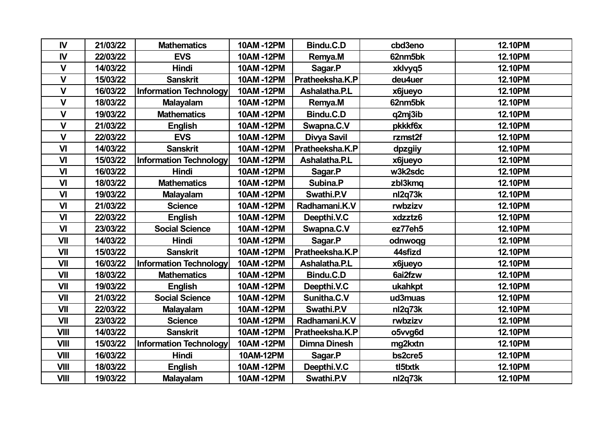| IV           | 21/03/22 | <b>Mathematics</b>            | 10AM-12PM | Bindu.C.D           | cbd3eno | <b>12.10PM</b> |
|--------------|----------|-------------------------------|-----------|---------------------|---------|----------------|
| IV           | 22/03/22 | <b>EVS</b>                    | 10AM-12PM | Remya.M             | 62nm5bk | <b>12.10PM</b> |
| $\mathbf{V}$ | 14/03/22 | <b>Hindi</b>                  | 10AM-12PM | Sagar.P             | xklvyq5 | <b>12.10PM</b> |
| $\mathbf{V}$ | 15/03/22 | <b>Sanskrit</b>               | 10AM-12PM | Pratheeksha.K.P     | deu4uer | <b>12.10PM</b> |
| $\mathbf{V}$ | 16/03/22 | <b>Information Technology</b> | 10AM-12PM | Ashalatha.P.L       | x6jueyo | <b>12.10PM</b> |
| $\mathbf{V}$ | 18/03/22 | <b>Malayalam</b>              | 10AM-12PM | Remya.M             | 62nm5bk | <b>12.10PM</b> |
| $\mathbf{V}$ | 19/03/22 | <b>Mathematics</b>            | 10AM-12PM | Bindu.C.D           | q2mj3ib | <b>12.10PM</b> |
| $\mathbf{V}$ | 21/03/22 | <b>English</b>                | 10AM-12PM | Swapna.C.V          | pkkkf6x | <b>12.10PM</b> |
| $\mathbf{V}$ | 22/03/22 | <b>EVS</b>                    | 10AM-12PM | Divya Savil         | rzmst2f | <b>12.10PM</b> |
| $\mathsf{V}$ | 14/03/22 | <b>Sanskrit</b>               | 10AM-12PM | Pratheeksha.K.P     | dpzgiiy | <b>12.10PM</b> |
| VI           | 15/03/22 | <b>Information Technology</b> | 10AM-12PM | Ashalatha.P.L       | x6jueyo | <b>12.10PM</b> |
| VI           | 16/03/22 | <b>Hindi</b>                  | 10AM-12PM | Sagar.P             | w3k2sdc | <b>12.10PM</b> |
| VI           | 18/03/22 | <b>Mathematics</b>            | 10AM-12PM | Subina.P            | zbl3kmq | <b>12.10PM</b> |
| VI           | 19/03/22 | <b>Malayalam</b>              | 10AM-12PM | Swathi.P.V          | nl2q73k | <b>12.10PM</b> |
| VI           | 21/03/22 | <b>Science</b>                | 10AM-12PM | Radhamani.K.V       | rwbzizv | <b>12.10PM</b> |
| VI           | 22/03/22 | <b>English</b>                | 10AM-12PM | Deepthi.V.C         | xdzztz6 | <b>12.10PM</b> |
| VI           | 23/03/22 | <b>Social Science</b>         | 10AM-12PM | Swapna.C.V          | ez77eh5 | <b>12.10PM</b> |
| VII          | 14/03/22 | Hindi                         | 10AM-12PM | Sagar.P             | odnwoqg | 12.10PM        |
| VII          | 15/03/22 | <b>Sanskrit</b>               | 10AM-12PM | Pratheeksha.K.P     | 44sfizd | <b>12.10PM</b> |
| VII          | 16/03/22 | <b>Information Technology</b> | 10AM-12PM | Ashalatha.P.L       | x6jueyo | <b>12.10PM</b> |
| <b>VII</b>   | 18/03/22 | <b>Mathematics</b>            | 10AM-12PM | Bindu.C.D           | 6ai2fzw | <b>12.10PM</b> |
| VII          | 19/03/22 | <b>English</b>                | 10AM-12PM | Deepthi.V.C         | ukahkpt | 12.10PM        |
| VII          | 21/03/22 | <b>Social Science</b>         | 10AM-12PM | Sunitha.C.V         | ud3muas | <b>12.10PM</b> |
| VII          | 22/03/22 | <b>Malayalam</b>              | 10AM-12PM | Swathi.P.V          | nl2q73k | <b>12.10PM</b> |
| VII          | 23/03/22 | <b>Science</b>                | 10AM-12PM | Radhamani.K.V       | rwbzizv | <b>12.10PM</b> |
| <b>VIII</b>  | 14/03/22 | <b>Sanskrit</b>               | 10AM-12PM | Pratheeksha.K.P     | o5vvg6d | <b>12.10PM</b> |
| <b>VIII</b>  | 15/03/22 | <b>Information Technology</b> | 10AM-12PM | <b>Dimna Dinesh</b> | mg2kxtn | <b>12.10PM</b> |
| <b>VIII</b>  | 16/03/22 | <b>Hindi</b>                  | 10AM-12PM | Sagar.P             | bs2cre5 | <b>12.10PM</b> |
| <b>VIII</b>  | 18/03/22 | <b>English</b>                | 10AM-12PM | Deepthi.V.C         | tl5txtk | <b>12.10PM</b> |
| <b>VIII</b>  | 19/03/22 | <b>Malayalam</b>              | 10AM-12PM | Swathi.P.V          | nl2q73k | <b>12.10PM</b> |